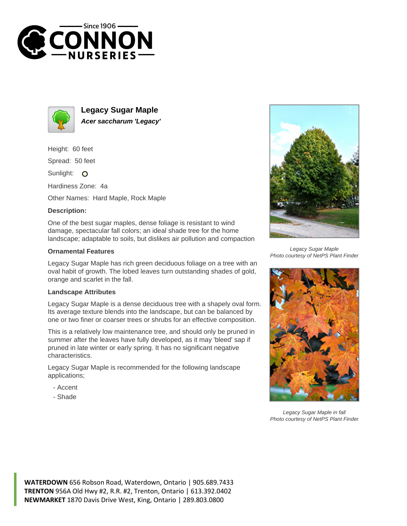



**Legacy Sugar Maple Acer saccharum 'Legacy'**

Height: 60 feet

Spread: 50 feet

Sunlight: O

Hardiness Zone: 4a

Other Names: Hard Maple, Rock Maple

## **Description:**

One of the best sugar maples, dense foliage is resistant to wind damage, spectacular fall colors; an ideal shade tree for the home landscape; adaptable to soils, but dislikes air pollution and compaction

## **Ornamental Features**

Legacy Sugar Maple has rich green deciduous foliage on a tree with an oval habit of growth. The lobed leaves turn outstanding shades of gold, orange and scarlet in the fall.

## **Landscape Attributes**

Legacy Sugar Maple is a dense deciduous tree with a shapely oval form. Its average texture blends into the landscape, but can be balanced by one or two finer or coarser trees or shrubs for an effective composition.

This is a relatively low maintenance tree, and should only be pruned in summer after the leaves have fully developed, as it may 'bleed' sap if pruned in late winter or early spring. It has no significant negative characteristics.

Legacy Sugar Maple is recommended for the following landscape applications;

- Accent
- Shade



Legacy Sugar Maple Photo courtesy of NetPS Plant Finder



Legacy Sugar Maple in fall Photo courtesy of NetPS Plant Finder